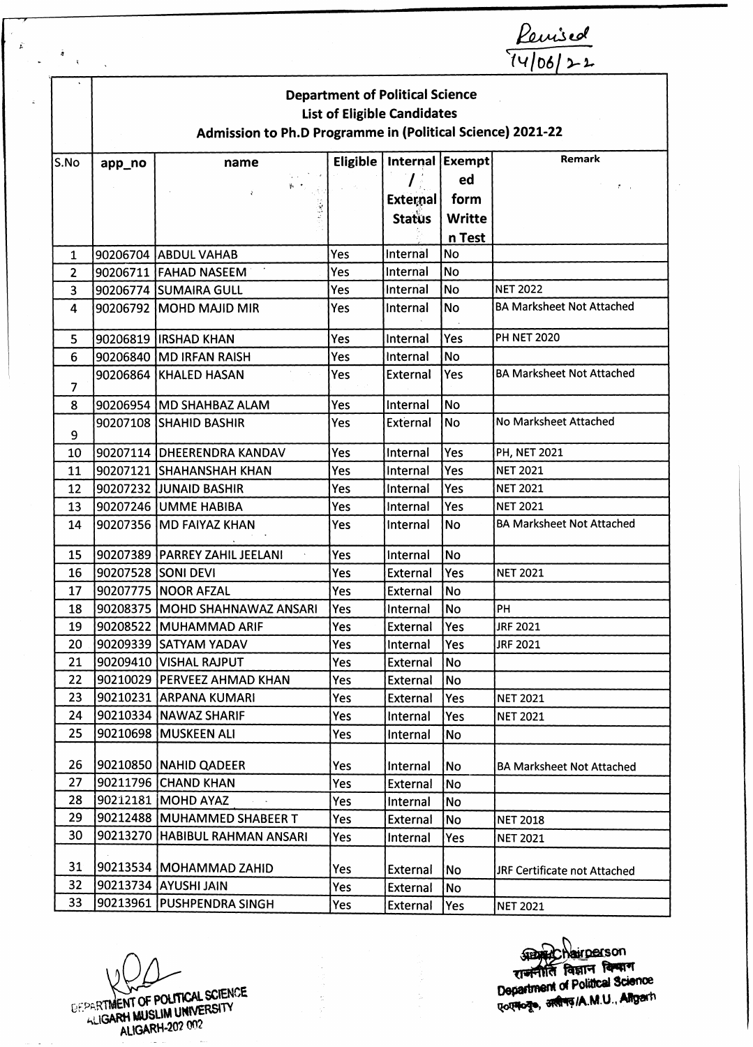| $\bar{q}$<br>$\mathcal{R}^{\pm}$ |                                                            |                                  |     |                                        |               | $\frac{K$ emsed<br>$\frac{1}{1106122}$ |  |  |  |
|----------------------------------|------------------------------------------------------------|----------------------------------|-----|----------------------------------------|---------------|----------------------------------------|--|--|--|
|                                  |                                                            |                                  |     | <b>Department of Political Science</b> |               |                                        |  |  |  |
|                                  | <b>List of Eligible Candidates</b>                         |                                  |     |                                        |               |                                        |  |  |  |
|                                  | Admission to Ph.D Programme in (Political Science) 2021-22 |                                  |     |                                        |               |                                        |  |  |  |
| S.No                             | Remark<br>Internal Exempt<br>Eligible  <br>app_no<br>name  |                                  |     |                                        |               |                                        |  |  |  |
|                                  |                                                            |                                  |     |                                        | ed            |                                        |  |  |  |
|                                  |                                                            |                                  |     | <b>External</b>                        | form          |                                        |  |  |  |
|                                  |                                                            |                                  |     | <b>Status</b>                          | <b>Writte</b> |                                        |  |  |  |
|                                  |                                                            |                                  |     |                                        | n Test        |                                        |  |  |  |
| 1                                |                                                            | 90206704 ABDUL VAHAB             | Yes | Internal                               | <b>No</b>     |                                        |  |  |  |
| $\overline{2}$                   |                                                            | 90206711 FAHAD NASEEM            | Yes | Internal                               | No            |                                        |  |  |  |
| $\overline{3}$                   |                                                            | 90206774 SUMAIRA GULL            | Yes | Internal                               | No.           | <b>NET 2022</b>                        |  |  |  |
| 4                                |                                                            | 90206792 MOHD MAJID MIR          | Yes | Internal                               | <b>No</b>     | <b>BA Marksheet Not Attached</b>       |  |  |  |
| 5                                |                                                            | 90206819 IIRSHAD KHAN            | Yes | Internal                               | Yes           | <b>PH NET 2020</b>                     |  |  |  |
| 6                                |                                                            | 90206840 MD IRFAN RAISH          | Yes | Internal                               | No            |                                        |  |  |  |
| 7                                |                                                            | 90206864 KHALED HASAN            | Yes | External                               | Yes           | <b>BA Marksheet Not Attached</b>       |  |  |  |
| 8                                |                                                            | 90206954 MD SHAHBAZ ALAM         | Yes | Internal                               | <b>No</b>     |                                        |  |  |  |
| 9                                |                                                            | 90207108 SHAHID BASHIR           | Yes | External                               | <b>No</b>     | No Marksheet Attached                  |  |  |  |
| 10                               |                                                            | 90207114 DHEERENDRA KANDAV       | Yes | Internal                               | Yes           | <b>PH, NET 2021</b>                    |  |  |  |
| 11                               |                                                            | 90207121 SHAHANSHAH KHAN         | Yes | Internal                               | Yes           | <b>NET 2021</b>                        |  |  |  |
| 12                               |                                                            | 90207232 JJUNAID BASHIR          | Yes | Internal                               | Yes           | <b>NET 2021</b>                        |  |  |  |
| 13                               |                                                            | 90207246 UMME HABIBA             | Yes | Internal                               | Yes           | <b>NET 2021</b>                        |  |  |  |
| 14                               |                                                            | 90207356 MD FAIYAZ KHAN          | Yes | Internal                               | <b>No</b>     | <b>BA Marksheet Not Attached</b>       |  |  |  |
| 15                               |                                                            | 90207389   PARREY ZAHIL JEELANI  | Yes | Internal                               | No            |                                        |  |  |  |
| 16                               | 90207528 SONI DEVI                                         |                                  | Yes | External                               | <b>Yes</b>    | <b>NET 2021</b>                        |  |  |  |
| 17                               |                                                            | 90207775 NOOR AFZAL              | Yes | External                               | No            |                                        |  |  |  |
| 18                               |                                                            | 90208375   MOHD SHAHNAWAZ ANSARI | Yes | Internal                               | <b>No</b>     | PH                                     |  |  |  |
| 19                               |                                                            | 90208522 MUHAMMAD ARIF           | Yes | External                               | Yes           | <b>JRF 2021</b>                        |  |  |  |
| 20                               |                                                            | 90209339 SATYAM YADAV            | Yes | Internal                               | Yes           | <b>JRF 2021</b>                        |  |  |  |
| 21                               |                                                            | 90209410 VISHAL RAJPUT           | Yes | <b>External</b>                        | <b>No</b>     |                                        |  |  |  |
| 22                               |                                                            | 90210029   PERVEEZ AHMAD KHAN    | Yes | External                               | <b>No</b>     |                                        |  |  |  |
| 23                               |                                                            | 90210231 ARPANA KUMARI           | Yes | <b>External</b>                        | Yes           | <b>NET 2021</b>                        |  |  |  |
| 24                               |                                                            | 90210334   NAWAZ SHARIF          | Yes | Internal                               | Yes           | <b>NET 2021</b>                        |  |  |  |
| 25                               |                                                            | 90210698 MUSKEEN ALI             | Yes | Internal                               | No            |                                        |  |  |  |
| 26                               |                                                            | 90210850 NAHID QADEER            | Yes | Internal                               | lNo           | <b>BA Marksheet Not Attached</b>       |  |  |  |
| 27                               |                                                            | 90211796 CHAND KHAN              | Yes | External                               | No            |                                        |  |  |  |
| 28                               |                                                            | 90212181 MOHD AYAZ               | Yes | Internal                               | No            |                                        |  |  |  |
| 29                               |                                                            | 90212488 MUHAMMED SHABEER T      | Yes | External                               | No            | <b>NET 2018</b>                        |  |  |  |
| 30                               |                                                            | 90213270 HABIBUL RAHMAN ANSARI   | Yes | Internal                               | Yes           | <b>NET 2021</b>                        |  |  |  |
| 31                               |                                                            | 90213534   MOHAMMAD ZAHID        | Yes | External                               | No            | JRF Certificate not Attached           |  |  |  |
| 32                               |                                                            | 90213734 AYUSHI JAIN             | Yes | <b>External</b>                        | No            |                                        |  |  |  |
| 33                               |                                                            | 90213961 PUSHPENDRA SINGH        | Yes | External                               | Yes           | <b>NET 2021</b>                        |  |  |  |

E PARTMENT OF POLITICAL SCIENCE

**\_son** ^ T ^ / a m .u .a^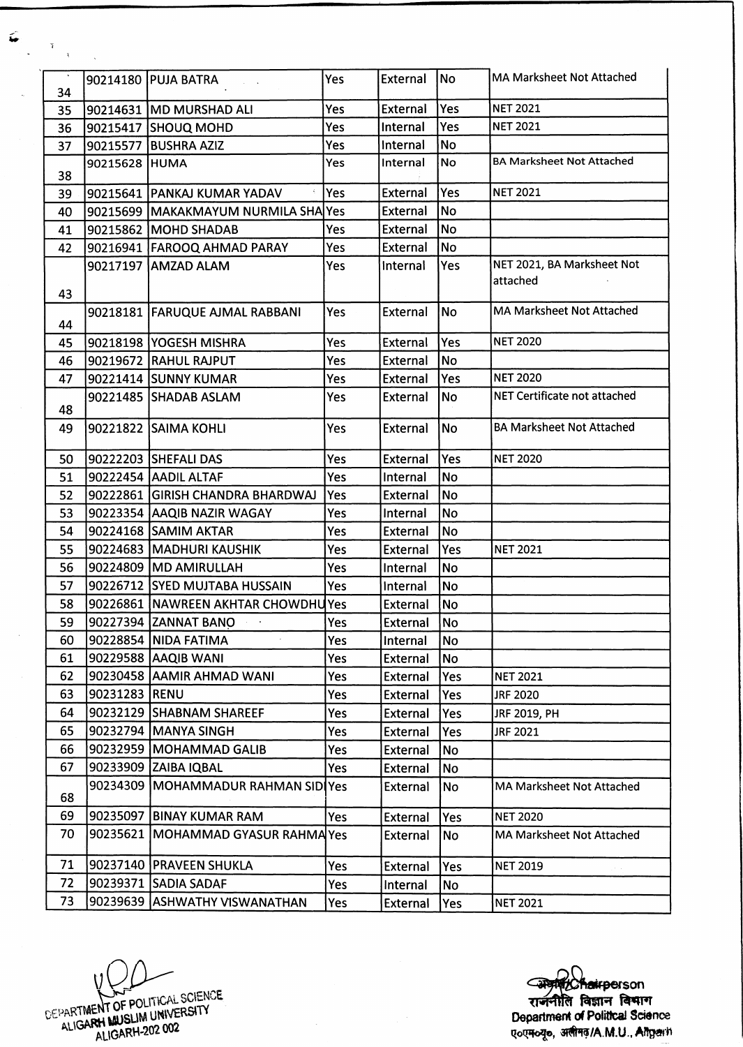| $\mathcal{A}$ |               | 90214180 PUJA BATRA                 | Yes | External        | <b>No</b>      | <b>MA Marksheet Not Attached</b> |
|---------------|---------------|-------------------------------------|-----|-----------------|----------------|----------------------------------|
| 34            |               |                                     |     |                 |                |                                  |
| 35            |               | 90214631 MD MURSHAD ALI             | Yes | External        | Yes            | <b>NET 2021</b>                  |
| 36            |               | 90215417 SHOUQ MOHD                 | Yes | Internal        | Yes            | <b>NET 2021</b>                  |
| 37            |               | 90215577 BUSHRA AZIZ                | Yes | Internal        | <b>No</b>      |                                  |
| 38            | 90215628 HUMA |                                     | Yes | Internal        | <b>No</b>      | <b>BA Marksheet Not Attached</b> |
| 39            |               | 90215641 PANKAJ KUMAR YADAV         | Yes | <b>External</b> | Yes            | <b>NET 2021</b>                  |
| 40            |               | 90215699 MAKAKMAYUM NURMILA SHA Yes |     | External        | No             |                                  |
| 41            |               | 90215862 MOHD SHADAB                | Yes | External        | <b>No</b>      |                                  |
| 42            |               | 90216941 FAROOQ AHMAD PARAY         | Yes | External        | No             |                                  |
|               |               | 90217197 AMZAD ALAM                 | Yes | Internal        | Yes            | NET 2021, BA Marksheet Not       |
| 43            |               |                                     |     |                 |                | attached                         |
| 44            |               | 90218181   FARUQUE AJMAL RABBANI    | Yes | External        | <b>No</b>      | <b>MA Marksheet Not Attached</b> |
| 45            |               | 90218198 YOGESH MISHRA              | Yes | External        | Yes            | <b>NET 2020</b>                  |
| 46            |               | 90219672 RAHUL RAJPUT               | Yes | <b>External</b> | <b>No</b>      |                                  |
| 47            |               | 90221414 SUNNY KUMAR                | Yes | <b>External</b> | Yes            | <b>NET 2020</b>                  |
| 48            |               | 90221485 SHADAB ASLAM               | Yes | External        | No             | NET Certificate not attached     |
| 49            |               | 90221822 SAIMA KOHLI                | Yes | External        | N <sub>o</sub> | <b>BA Marksheet Not Attached</b> |
| 50            |               | 90222203 SHEFALI DAS                | Yes | External        | Yes            | <b>NET 2020</b>                  |
| 51            |               | 90222454 AADIL ALTAF                | Yes | Internal        | No             |                                  |
| 52            |               | 90222861  GIRISH CHANDRA BHARDWAJ   | Yes | External        | <b>No</b>      |                                  |
| 53            |               | 90223354 AAQIB NAZIR WAGAY          | Yes | Internal        | No             |                                  |
| 54            |               | 90224168 SAMIM AKTAR                | Yes | External        | No             |                                  |
| 55            |               | 90224683   MADHURI KAUSHIK          | Yes | External        | Yes            | <b>NET 2021</b>                  |
| 56            |               | 90224809 MD AMIRULLAH               | Yes | Internal        | No             |                                  |
| 57            |               | 90226712 SYED MUJTABA HUSSAIN       | Yes | Internal        | <b>No</b>      |                                  |
| 58            |               | 90226861  NAWREEN AKHTAR CHOWDHUYes |     | External        | <b>No</b>      |                                  |
| 59            |               | 90227394 ZANNAT BANO                | Yes | External        | No             |                                  |
| 60            |               | 90228854   NIDA FATIMA              | Yes | Internal        | No             |                                  |
| 61            |               | 90229588 AAQIB WANI                 | Yes | External        | No             |                                  |
| 62            |               | 90230458   AAMIR AHMAD WANI         | Yes | External        | Yes            | <b>NET 2021</b>                  |
| 63            | 90231283 RENU |                                     | Yes | <b>External</b> | Yes            | <b>JRF 2020</b>                  |
| 64            |               | 90232129 SHABNAM SHAREEF            | Yes | <b>External</b> | Yes            | JRF 2019, PH                     |
| 65            |               | 90232794 MANYA SINGH                | Yes | <b>External</b> | Yes            | <b>JRF 2021</b>                  |
| 66            |               | 90232959   MOHAMMAD GALIB           | Yes | External        | <b>No</b>      |                                  |
| 67            |               | 90233909 ZAIBA IQBAL                | Yes | <b>External</b> | No             |                                  |
| 68            |               | 90234309 MOHAMMADUR RAHMAN SIDIYes  |     | External        | No             | MA Marksheet Not Attached        |
| 69            |               | 90235097 BINAY KUMAR RAM            | Yes | <b>External</b> | Yes            | <b>NET 2020</b>                  |
| 70            | 90235621      | <b>IMOHAMMAD GYASUR RAHMA Yes</b>   |     | External        | No             | <b>MA Marksheet Not Attached</b> |
| 71            |               | 90237140   PRAVEEN SHUKLA           | Yes | External        | Yes            | <b>NET 2019</b>                  |
| 72            |               | 90239371 SADIA SADAF                | Yes | Internal        | No             |                                  |
| 73            |               | 90239639 ASHWATHY VISWANATHAN       | Yes | <b>External</b> | Yes            | <b>NET 2021</b>                  |

 $\bar{z}$ 

V EPARTMENT OF POLITICAL SCIENCE

**son** विज्ञान विषाग **Department of Political Science qoq%\*[©, 3f#ra/A.M.U., Afigwh**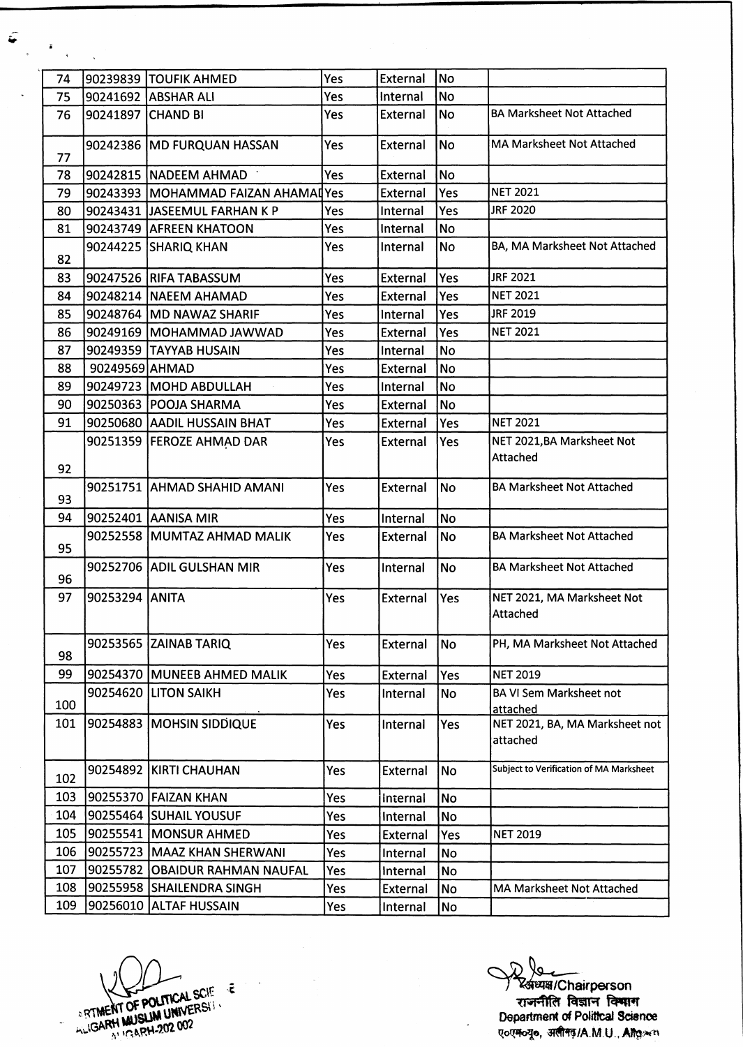| ã<br>$\mathbf{R}$ |                   |                                     |     |                 |           |                                            |
|-------------------|-------------------|-------------------------------------|-----|-----------------|-----------|--------------------------------------------|
| 74                |                   | 90239839 TOUFIK AHMED               | Yes | External        | <b>No</b> |                                            |
| 75                |                   | 90241692 ABSHAR ALI                 | Yes | Internal        | <b>No</b> |                                            |
| 76                | 90241897 CHAND BI |                                     | Yes | External        | <b>No</b> | <b>BA Marksheet Not Attached</b>           |
| 77                |                   | 90242386 MD FURQUAN HASSAN          | Yes | External        | <b>No</b> | <b>MA Marksheet Not Attached</b>           |
| 78                |                   | 90242815 NADEEM AHMAD               | Yes | <b>External</b> | <b>No</b> |                                            |
| 79                |                   | 90243393 MOHAMMAD FAIZAN AHAMAI Yes |     | External        | Yes       | <b>NET 2021</b>                            |
| 80                |                   | 90243431 JJASEEMUL FARHAN K P       | Yes | Internal        | Yes       | <b>JRF 2020</b>                            |
| 81                |                   | 90243749 AFREEN KHATOON             | Yes | Internal        | No        |                                            |
| 82                |                   | 90244225 SHARIQ KHAN                | Yes | Internal        | <b>No</b> | BA, MA Marksheet Not Attached              |
| 83                |                   | 90247526 RIFA TABASSUM              | Yes | External        | Yes       | JRF 2021                                   |
| 84                |                   | 90248214  NAEEM AHAMAD              | Yes | External        | Yes       | <b>NET 2021</b>                            |
| 85                |                   | 90248764 MD NAWAZ SHARIF            | Yes | Internal        | Yes       | JRF 2019                                   |
| 86                |                   | 90249169   MOHAMMAD JAWWAD          | Yes | External        | Yes       | <b>NET 2021</b>                            |
| 87                |                   | 90249359 TAYYAB HUSAIN              | Yes | Internal        | No        |                                            |
| 88                | 90249569 AHMAD    |                                     | Yes | External        | No        |                                            |
| 89                |                   | 90249723 MOHD ABDULLAH              | Yes | Internal        | No        |                                            |
| 90                |                   | 90250363 POOJA SHARMA               | Yes | External        | No        |                                            |
| 91                |                   | 90250680 AADIL HUSSAIN BHAT         | Yes | External        | Yes       | <b>NET 2021</b>                            |
|                   |                   | 90251359 FEROZE AHMAD DAR           | Yes | External        | Yes       | NET 2021, BA Marksheet Not<br>Attached     |
| 92                |                   |                                     |     |                 |           |                                            |
| 93                |                   | 90251751 AHMAD SHAHID AMANI         | Yes | External        | No        | <b>BA Marksheet Not Attached</b>           |
| 94                |                   | 90252401 AANISA MIR                 | Yes | Internal        | No        |                                            |
| 95                |                   | 90252558 MUMTAZ AHMAD MALIK         | Yes | External        | <b>No</b> | <b>BA Marksheet Not Attached</b>           |
| 96                |                   | 90252706 ADIL GULSHAN MIR           | Yes | Internal        | <b>No</b> | <b>BA Marksheet Not Attached</b>           |
| 97                | 90253294 ANITA    |                                     | Yes | External Yes    |           | NET 2021, MA Marksheet Not<br>Attached     |
| 98                |                   | 90253565 ZAINAB TARIQ               | Yes | External        | <b>No</b> | PH, MA Marksheet Not Attached              |
| 99                |                   | 90254370 MUNEEB AHMED MALIK         | Yes | <b>External</b> | Yes       | <b>NET 2019</b>                            |
| 100               |                   | 90254620 LITON SAIKH                | Yes | Internal        | No        | <b>BA VI Sem Marksheet not</b><br>attached |
| 101               |                   | 90254883   MOHSIN SIDDIQUE          | Yes | Internal        | Yes       | NET 2021, BA, MA Marksheet not<br>attached |
| 102               |                   | 90254892 KIRTI CHAUHAN              | Yes | External        | <b>No</b> | Subject to Verification of MA Marksheet    |
| 103               |                   | 90255370 FAIZAN KHAN                | Yes | Internal        | <b>No</b> |                                            |
| 104               |                   | 90255464 SUHAIL YOUSUF              | Yes | Internal        | No        |                                            |
| 105               |                   | 90255541 MONSUR AHMED               | Yes | <b>External</b> | Yes       | <b>NET 2019</b>                            |
| 106               |                   | 90255723 MAAZ KHAN SHERWANI         | Yes | Internal        | No        |                                            |
| 107               |                   | 90255782 OBAIDUR RAHMAN NAUFAL      | Yes | Internal        | <b>No</b> |                                            |
| 108               |                   | 90255958 SHAILENDRA SINGH           | Yes | External        | <b>No</b> | MA Marksheet Not Attached                  |
| 109               |                   | 90256010 ALLTAF HUSSAIN             | Yes | Internal        | No        |                                            |

RTMENT OF POLITICAL SCIE

 $\hat{r} = \hat{r}$ 

) ४४ अध्यक्ष/Chairperson राजनीति विज्ञान **वि**षाग **Department of Political Science qoqjfo^o,** 3**#** <sup>15</sup>**/A.M.U., AR**8**iWH**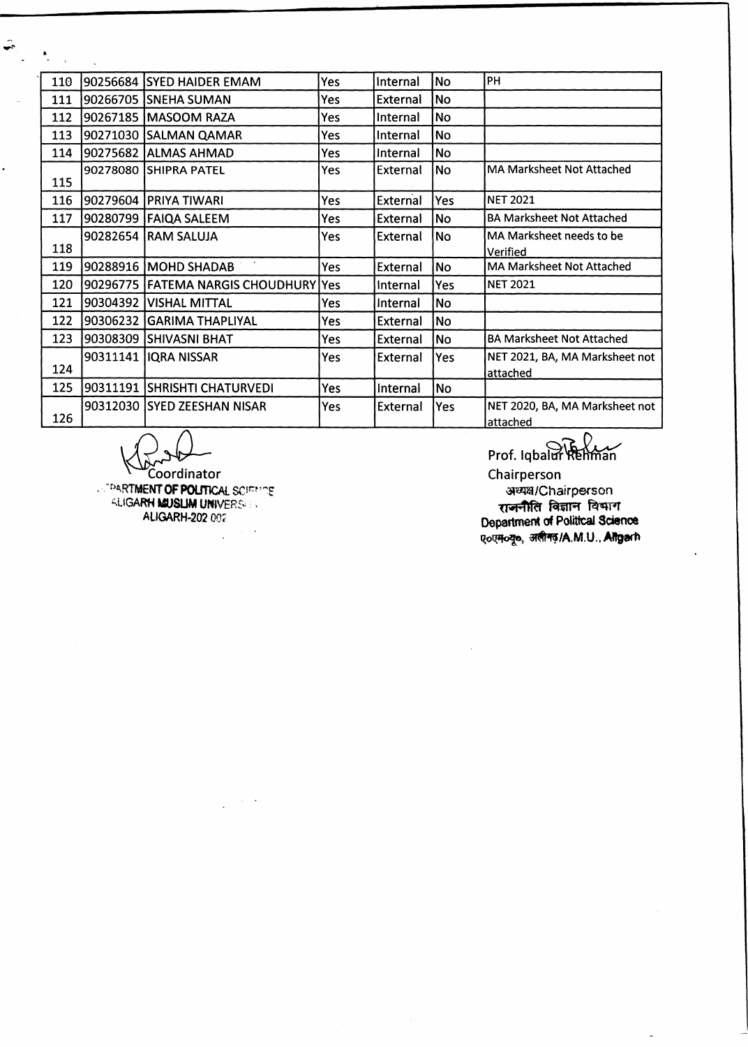| 110 |          | 90256684 SYED HAIDER EMAM            | Yes | Internal        | No        | PH                                         |
|-----|----------|--------------------------------------|-----|-----------------|-----------|--------------------------------------------|
| 111 |          | 90266705  SNEHA SUMAN                | Yes | External        | No.       |                                            |
| 112 |          | 90267185  MASOOM RAZA                | Yes | Internal        | No        |                                            |
| 113 |          | 90271030 SALMAN QAMAR                | Yes | Internal        | No        |                                            |
| 114 |          | 90275682 ALMAS AHMAD                 | Yes | Internal        | <b>No</b> |                                            |
| 115 |          | 90278080 SHIPRA PATEL                | Yes | External        | No        | MA Marksheet Not Attached                  |
| 116 | 90279604 | <b>PRIYA TIWARI</b>                  | Yes | <b>External</b> | Yes       | <b>NET 2021</b>                            |
| 117 |          | 90280799 FAIQA SALEEM                | Yes | External        | <b>No</b> | <b>BA Marksheet Not Attached</b>           |
| 118 |          | 90282654 RAM SALUJA                  | Yes | <b>External</b> | No.       | MA Marksheet needs to be<br>Verified       |
| 119 |          | 90288916   MOHD SHADAB               | Yes | External        | No        | <b>MA Marksheet Not Attached</b>           |
| 120 |          | 90296775 FATEMA NARGIS CHOUDHURY Yes |     | Internal        | Yes       | <b>NET 2021</b>                            |
| 121 |          | 90304392   VISHAL MITTAL             | Yes | Internal        | <b>No</b> |                                            |
| 122 |          | 90306232 GARIMA THAPLIYAL            | Yes | External        | <b>No</b> |                                            |
| 123 |          | 90308309 SHIVASNI BHAT               | Yes | External        | <b>No</b> | <b>BA Marksheet Not Attached</b>           |
| 124 |          | 90311141   IQRA NISSAR               | Yes | External        | Yes       | NET 2021, BA, MA Marksheet not<br>attached |
| 125 |          | 90311191 SHRISHTI CHATURVEDI         | Yes | Internal        | <b>No</b> |                                            |
| 126 |          | 90312030 SYED ZEESHAN NISAR          | Yes | <b>External</b> | Yes       | NET 2020, BA, MA Marksheet not<br>attached |

Coordinator

 $\hat{\bullet}$ 

**PARTMENT OF POUTICAL SCIETING -.UGARW MUSLIM UNIVER& > AllGARH-202 00?**

 $\mathcal{L}_{\mathcal{A}}$ 

Prof. Iqbalur Rehman

Chairperson **«aja/Chairp©rson** राजनीति विज्ञान विभाग **Department of Political Science qoqjfo^jo, 3T#1f5/A.M.U., Aftgech**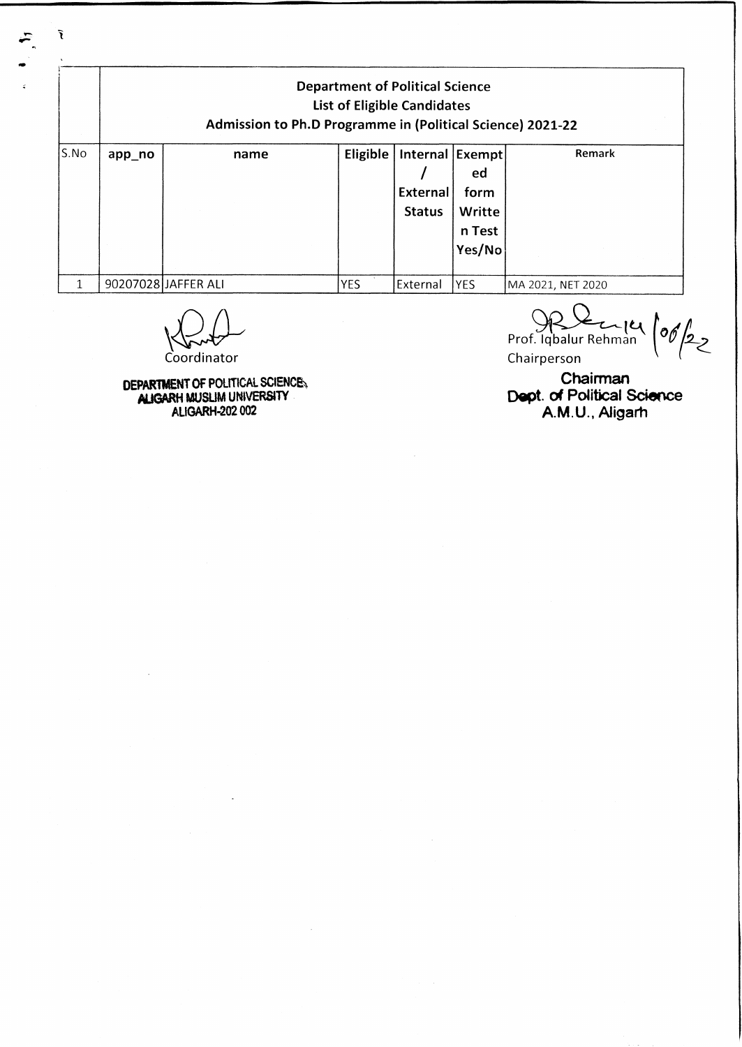| <b>Department of Political Science</b><br><b>List of Eligible Candidates</b><br>Admission to Ph.D Programme in (Political Science) 2021-22 |        |                     |            |                                              |                                          |                   |  |  |
|--------------------------------------------------------------------------------------------------------------------------------------------|--------|---------------------|------------|----------------------------------------------|------------------------------------------|-------------------|--|--|
| S.No                                                                                                                                       | app_no | name                | Eligible   | Internal Exempt<br>External<br><b>Status</b> | ed<br>form<br>Writte<br>n Test<br>Yes/No | Remark            |  |  |
|                                                                                                                                            |        | 90207028 JAFFER ALI | <b>YES</b> | External                                     | <b>YES</b>                               | MA 2021, NET 2020 |  |  |

**Coordinator** 

 $\tilde{\mathbf{r}}$ 

**DEPARTMENT OF POLITICAL SCIENCE^ MJGARH MUSUM UNIVERSITY AUGARH-202002**

Prof. Iqbalur Rehman<sup>o</sup> *j*  $\frac{1}{2}$ Chairperson

**Chairman Dept.** of Political Science A.M .U., Aligarh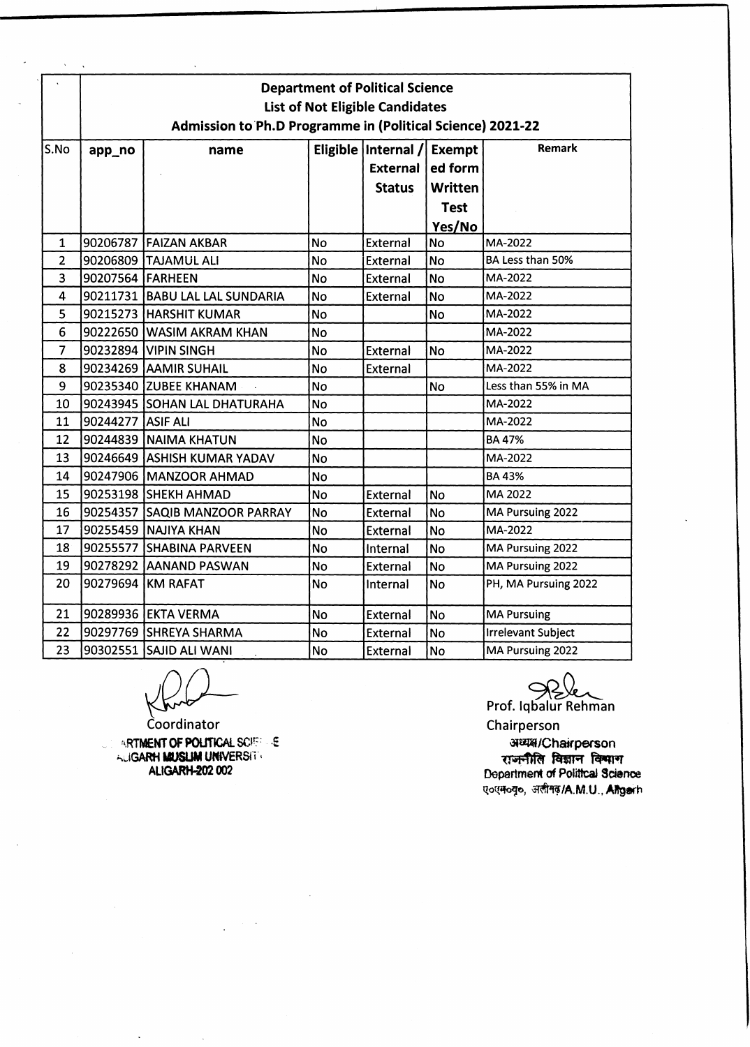|                | <b>Department of Political Science</b><br><b>List of Not Eligible Candidates</b><br>Admission to Ph.D Programme in (Political Science) 2021-22 |                                |           |                                                    |                                                                     |                      |  |  |  |
|----------------|------------------------------------------------------------------------------------------------------------------------------------------------|--------------------------------|-----------|----------------------------------------------------|---------------------------------------------------------------------|----------------------|--|--|--|
| S.No           | app_no                                                                                                                                         | name                           |           | Eligible   Internal /<br>External<br><b>Status</b> | <b>Exempt</b><br>ed form<br><b>Written</b><br><b>Test</b><br>Yes/No | Remark               |  |  |  |
| 1              |                                                                                                                                                | 90206787 FAIZAN AKBAR          | <b>No</b> | External                                           | <b>No</b>                                                           | MA-2022              |  |  |  |
| $\overline{2}$ |                                                                                                                                                | 90206809 TAJAMUL ALI           | <b>No</b> | External                                           | <b>No</b>                                                           | BA Less than 50%     |  |  |  |
| 3              | 90207564 FARHEEN                                                                                                                               |                                | <b>No</b> | <b>External</b>                                    | <b>No</b>                                                           | MA-2022              |  |  |  |
| $\overline{4}$ |                                                                                                                                                | 90211731 BABU LAL LAL SUNDARIA | <b>No</b> | <b>External</b>                                    | <b>No</b>                                                           | MA-2022              |  |  |  |
| 5              |                                                                                                                                                | 90215273 HARSHIT KUMAR         | <b>No</b> |                                                    | <b>No</b>                                                           | MA-2022              |  |  |  |
| 6              |                                                                                                                                                | 90222650 WASIM AKRAM KHAN      | <b>No</b> |                                                    |                                                                     | MA-2022              |  |  |  |
| $\overline{7}$ |                                                                                                                                                | 90232894 VIPIN SINGH           | <b>No</b> | <b>External</b>                                    | <b>No</b>                                                           | MA-2022              |  |  |  |
| 8              |                                                                                                                                                | 90234269 AAMIR SUHAIL          | <b>No</b> | External                                           |                                                                     | MA-2022              |  |  |  |
| 9              |                                                                                                                                                | 90235340 ZUBEE KHANAM          | <b>No</b> |                                                    | <b>No</b>                                                           | Less than 55% in MA  |  |  |  |
| 10             |                                                                                                                                                | 90243945 SOHAN LAL DHATURAHA   | <b>No</b> |                                                    |                                                                     | MA-2022              |  |  |  |
| 11             | 90244277 ASIF ALI                                                                                                                              |                                | <b>No</b> |                                                    |                                                                     | MA-2022              |  |  |  |
| 12             |                                                                                                                                                | 90244839 NAIMA KHATUN          | <b>No</b> |                                                    |                                                                     | <b>BA47%</b>         |  |  |  |
| 13             |                                                                                                                                                | 90246649 ASHISH KUMAR YADAV    | <b>No</b> |                                                    |                                                                     | MA-2022              |  |  |  |
| 14             |                                                                                                                                                | 90247906 MANZOOR AHMAD         | <b>No</b> |                                                    |                                                                     | <b>BA43%</b>         |  |  |  |
| 15             |                                                                                                                                                | 90253198 SHEKH AHMAD           | <b>No</b> | <b>External</b>                                    | <b>No</b>                                                           | MA 2022              |  |  |  |
| 16             |                                                                                                                                                | 90254357 SAQIB MANZOOR PARRAY  | <b>No</b> | External                                           | <b>No</b>                                                           | MA Pursuing 2022     |  |  |  |
| 17             |                                                                                                                                                | 90255459 NAJIYA KHAN           | <b>No</b> | External                                           | <b>No</b>                                                           | MA-2022              |  |  |  |
| 18             |                                                                                                                                                | 90255577 SHABINA PARVEEN       | <b>No</b> | Internal                                           | <b>No</b>                                                           | MA Pursuing 2022     |  |  |  |
| 19             |                                                                                                                                                | 90278292 AANAND PASWAN         | <b>No</b> | <b>External</b>                                    | <b>No</b>                                                           | MA Pursuing 2022     |  |  |  |
| 20             |                                                                                                                                                | 90279694 KM RAFAT              | <b>No</b> | Internal                                           | <b>No</b>                                                           | PH, MA Pursuing 2022 |  |  |  |
| 21             |                                                                                                                                                | 90289936 EKTA VERMA            | <b>No</b> | <b>External</b>                                    | <b>No</b>                                                           | <b>MA Pursuing</b>   |  |  |  |
| 22             |                                                                                                                                                | 90297769 SHREYA SHARMA         | <b>No</b> | <b>External</b>                                    | <b>No</b>                                                           | Irrelevant Subject   |  |  |  |
| 23             |                                                                                                                                                | 90302551 SAJID ALI WANI        | <b>No</b> | <b>External</b>                                    | <b>No</b>                                                           | MA Pursuing 2022     |  |  |  |

 $\ddot{\phantom{a}}$ 

 $\ddot{\phantom{a}}$ 

 $\Delta \sim 10^7$ 

Coordinator **NRTMENT OF POUTICAL SCIEF SE ACIGARH MUSLIM UNIVERSH + ALIGARH-202002**

 $\bar{\omega}$ 

Prof. Iqbalur Rehman Chairperson

**'3\*®W/Chairp©rson** राजनीति विज्ञान **Department of Political Sctenoe ए**oएमoयूo, अलीमढ़/A.M.U., Aligarh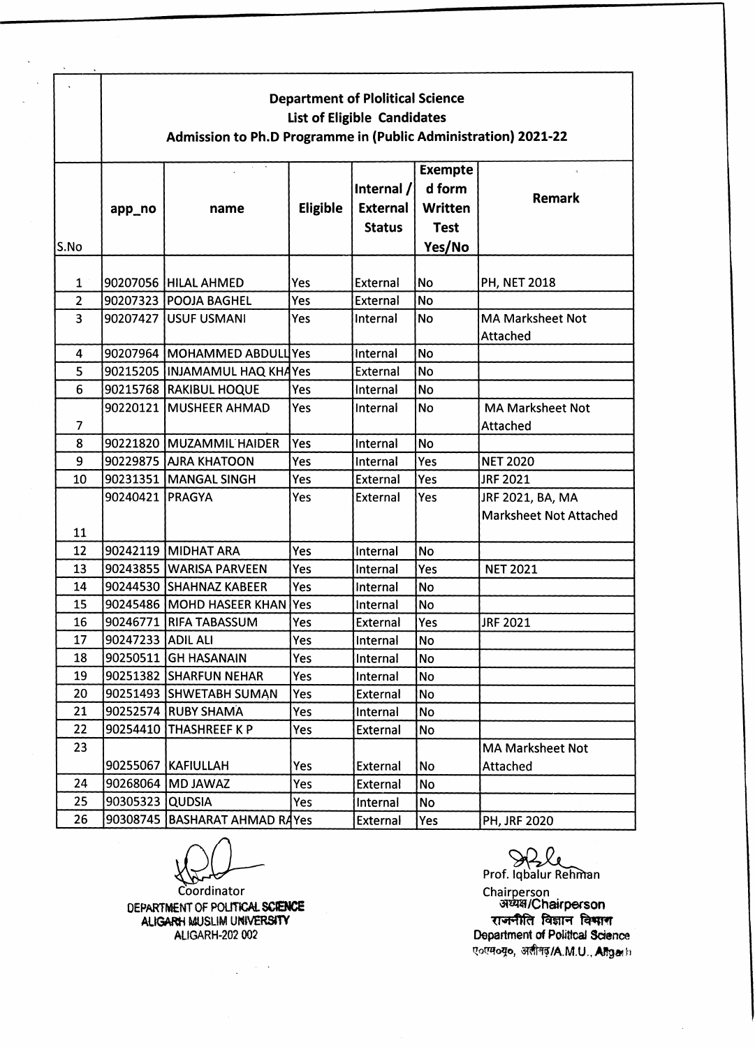|                         | <b>Department of Plolitical Science</b><br><b>List of Eligible Candidates</b><br>Admission to Ph.D Programme in (Public Administration) 2021-22 |                                   |                 |                                                  |                                                                     |                                                   |  |  |  |
|-------------------------|-------------------------------------------------------------------------------------------------------------------------------------------------|-----------------------------------|-----------------|--------------------------------------------------|---------------------------------------------------------------------|---------------------------------------------------|--|--|--|
| S.No                    | app_no                                                                                                                                          | name                              | <b>Eligible</b> | Internal $/$<br><b>External</b><br><b>Status</b> | <b>Exempte</b><br>d form<br><b>Written</b><br><b>Test</b><br>Yes/No | Remark                                            |  |  |  |
| 1                       |                                                                                                                                                 | 90207056 HILAL AHMED              | Yes             | External                                         | <b>No</b>                                                           | <b>PH, NET 2018</b>                               |  |  |  |
| $\overline{2}$          |                                                                                                                                                 | 90207323 POOJA BAGHEL             | Yes             | External                                         | <b>No</b>                                                           |                                                   |  |  |  |
| $\overline{3}$          | 90207427                                                                                                                                        | <b>USUF USMANI</b>                | Yes             | Internal                                         | <b>No</b>                                                           | <b>MA Marksheet Not</b><br>Attached               |  |  |  |
| 4                       |                                                                                                                                                 | 90207964 MOHAMMED ABDULL Yes      |                 | Internal                                         | <b>No</b>                                                           |                                                   |  |  |  |
| 5                       |                                                                                                                                                 | 90215205   INJAMAMUL HAQ KHAYes   |                 | External                                         | <b>No</b>                                                           |                                                   |  |  |  |
| 6                       |                                                                                                                                                 | 90215768 RAKIBUL HOQUE            | Yes             | Internal                                         | <b>No</b>                                                           |                                                   |  |  |  |
| $\overline{\mathbf{z}}$ | 90220121                                                                                                                                        | MUSHEER AHMAD                     | Yes             | Internal                                         | <b>No</b>                                                           | <b>MA Marksheet Not</b><br>Attached               |  |  |  |
| 8                       |                                                                                                                                                 | 90221820 MUZAMMIL HAIDER          | Yes             | Internal                                         | <b>No</b>                                                           |                                                   |  |  |  |
| 9                       |                                                                                                                                                 | 90229875  AJRA KHATOON            | Yes             | Internal                                         | Yes                                                                 | <b>NET 2020</b>                                   |  |  |  |
| 10                      |                                                                                                                                                 | 90231351 MANGAL SINGH             | Yes             | External                                         | Yes                                                                 | JRF 2021                                          |  |  |  |
| 11                      | 90240421   PRAGYA                                                                                                                               |                                   | Yes             | <b>External</b>                                  | Yes                                                                 | JRF 2021, BA, MA<br><b>Marksheet Not Attached</b> |  |  |  |
| 12                      |                                                                                                                                                 | 90242119 MIDHAT ARA               | Yes             | Internal                                         | <b>No</b>                                                           |                                                   |  |  |  |
| 13                      |                                                                                                                                                 | 90243855 WARISA PARVEEN           | Yes             | Internal                                         | Yes                                                                 | <b>NET 2021</b>                                   |  |  |  |
| 14                      |                                                                                                                                                 | 90244530 SHAHNAZ KABEER           | Yes             | Internal                                         | <b>No</b>                                                           |                                                   |  |  |  |
| 15                      |                                                                                                                                                 | 90245486   MOHD HASEER KHAN   Yes |                 | Internal                                         | <b>No</b>                                                           |                                                   |  |  |  |
| 16                      |                                                                                                                                                 | 90246771 RIFA TABASSUM            | Yes             | External                                         | <b>Yes</b>                                                          | JRF 2021                                          |  |  |  |
| 17                      | 90247233 ADIL ALI                                                                                                                               |                                   | Yes             | Internal                                         | No                                                                  |                                                   |  |  |  |
| 18                      |                                                                                                                                                 | 90250511 GH HASANAIN              | Yes             | Internal                                         | No                                                                  |                                                   |  |  |  |
| 19                      |                                                                                                                                                 | 90251382 SHARFUN NEHAR            | Yes             | Internal                                         | No                                                                  |                                                   |  |  |  |
| 20                      |                                                                                                                                                 | 90251493 SHWETABH SUMAN           | Yes             | External                                         | No                                                                  |                                                   |  |  |  |
| 21                      |                                                                                                                                                 | 90252574 RUBY SHAMA               | Yes             | Internal                                         | No                                                                  |                                                   |  |  |  |
| 22                      |                                                                                                                                                 | 90254410 THASHREEF K P            | Yes             | External                                         | No                                                                  |                                                   |  |  |  |
| 23                      |                                                                                                                                                 | 90255067   KAFIULLAH              | Yes             | External                                         | No                                                                  | <b>MA Marksheet Not</b><br>Attached               |  |  |  |
| 24                      |                                                                                                                                                 | 90268064 MD JAWAZ                 | Yes             | External                                         | <b>No</b>                                                           |                                                   |  |  |  |
| 25                      | 90305323 QUDSIA                                                                                                                                 |                                   | Yes             | Internal                                         | <b>No</b>                                                           |                                                   |  |  |  |
| 26                      |                                                                                                                                                 | 90308745  BASHARAT AHMAD RAYes    |                 | External                                         | Yes                                                                 | <b>PH, JRF 2020</b>                               |  |  |  |

 $\frac{1}{\sqrt{2}}$ 

**Coordinator DEPARTMENT OF POLITICAL SCENCE ALIGARH MUSLIM UNIVERSITY** ALIGARH-202 002

 $\label{eq:2.1} \frac{1}{2} \int_{\mathbb{R}^3} \frac{1}{\sqrt{2\pi}} \int_{\mathbb{R}^3} \frac{1}{\sqrt{2\pi}} \frac{1}{\sqrt{2\pi}} \frac{1}{\sqrt{2\pi}} \frac{1}{\sqrt{2\pi}} \frac{1}{\sqrt{2\pi}} \frac{1}{\sqrt{2\pi}} \frac{1}{\sqrt{2\pi}} \frac{1}{\sqrt{2\pi}} \frac{1}{\sqrt{2\pi}} \frac{1}{\sqrt{2\pi}} \frac{1}{\sqrt{2\pi}} \frac{1}{\sqrt{2\pi}} \frac{1}{\sqrt{2\pi}} \frac{1}{\sqrt{2\pi}}$ 

Prof. Iqbalur Rehman **Chairperson 3R\*Ki/Cha»rperson** राजनीति विज्ञान **Department** *of* **Political Science ए०एम०यू०, अलीनढ़/A.M.U., Angain**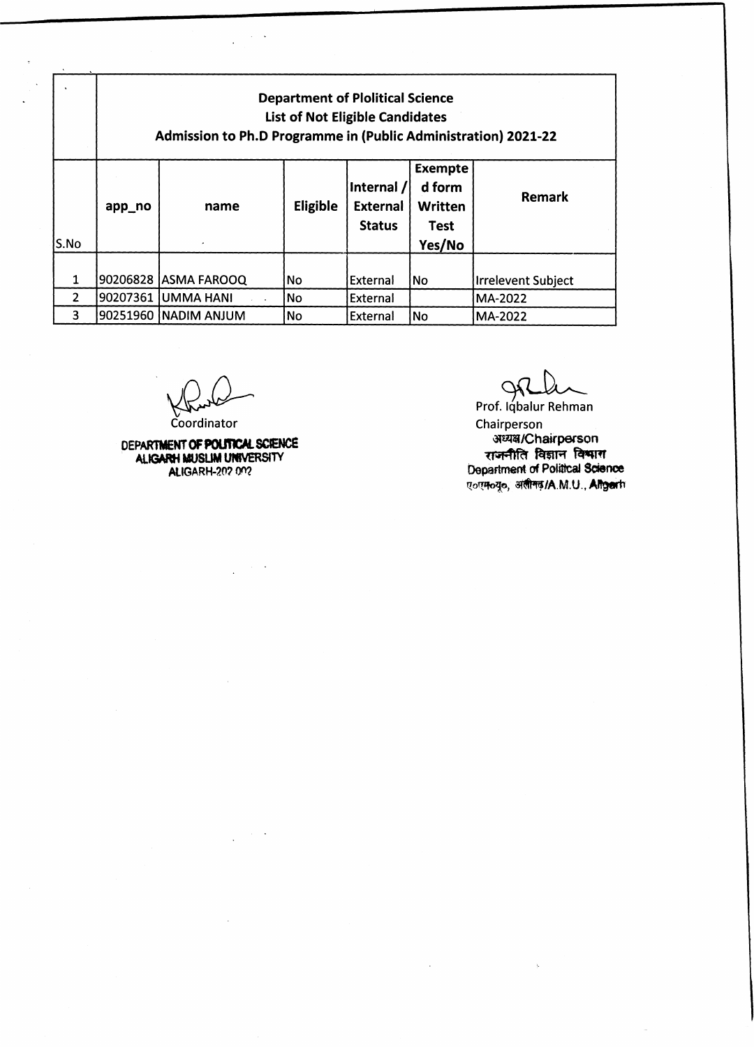|               | <b>Department of Plolitical Science</b><br><b>List of Not Eligible Candidates</b><br><b>Admission to Ph.D Programme in (Public Administration) 2021-22</b> |                        |          |                                                |                                                              |                           |  |  |
|---------------|------------------------------------------------------------------------------------------------------------------------------------------------------------|------------------------|----------|------------------------------------------------|--------------------------------------------------------------|---------------------------|--|--|
| S.No          | app_no                                                                                                                                                     | name                   | Eligible | Internal /<br><b>External</b><br><b>Status</b> | <b>Exempte</b><br>d form<br><b>Written</b><br>Test<br>Yes/No | Remark                    |  |  |
|               |                                                                                                                                                            | 90206828  ASMA FAROOQ  | No       | External                                       | <b>No</b>                                                    | <b>Irrelevent Subject</b> |  |  |
| $\mathcal{P}$ | 90207361                                                                                                                                                   | <b>UMMA HANI</b>       | lNo.     | External                                       |                                                              | MA-2022                   |  |  |
| 3             |                                                                                                                                                            | 90251960   NADIM ANJUM | No.      | External                                       | No                                                           | MA-2022                   |  |  |

 $\beta \rightarrow \infty$ 

 $\ddot{\phantom{0}}$ 

 $\ddot{\phantom{a}}$ 

Coordinator

**DEPARTMENT OF POLITICAL SCIENCE ALK3ARH MUSLIM UNIVERSITY**

**ALIGARH-20? 0"?**

*Q f i L*

Prof. Iqbalur Rehman Chairperson **■at^/Chatrperson** राजनीति विज्ञान विश्वास **Department of Political Science ए**ंग्मॅंट्स, अंतीमढ़/A.M.U., Altgerb

 $\bar{z}$ 

 $\bar{\zeta}$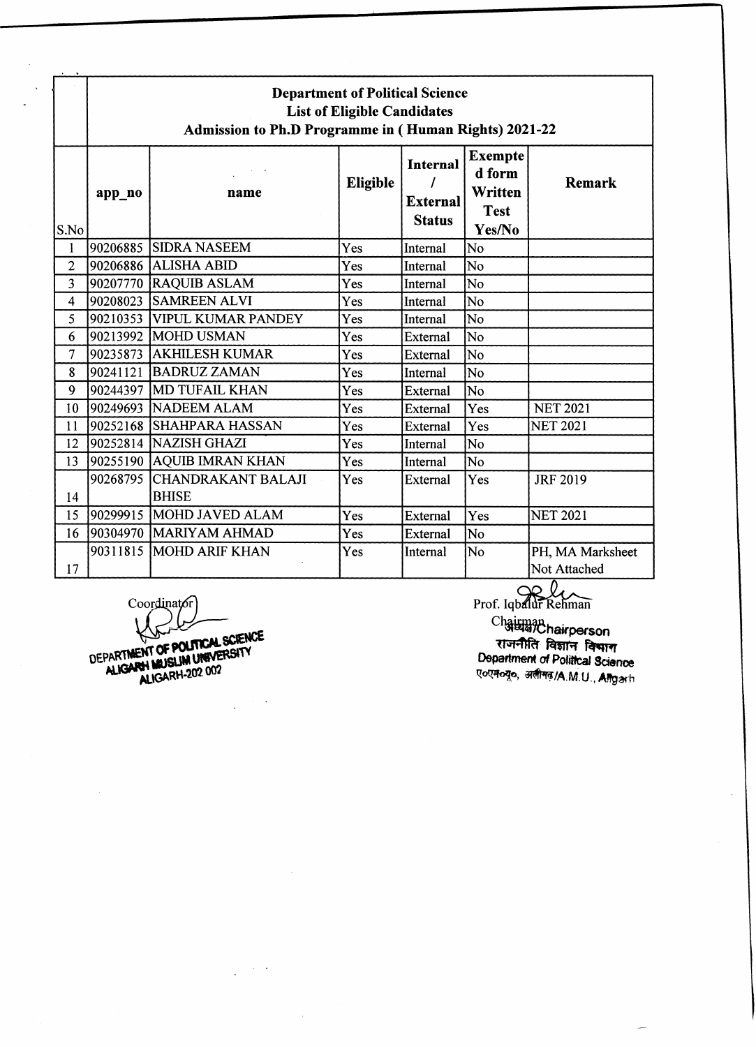|                         | <b>Department of Political Science</b><br><b>List of Eligible Candidates</b><br><b>Admission to Ph.D Programme in (Human Rights) 2021-22</b> |                                             |                 |                                                     |                                                              |                                  |  |  |  |  |
|-------------------------|----------------------------------------------------------------------------------------------------------------------------------------------|---------------------------------------------|-----------------|-----------------------------------------------------|--------------------------------------------------------------|----------------------------------|--|--|--|--|
| S.No                    | app_no                                                                                                                                       | name                                        | <b>Eligible</b> | <b>Internal</b><br><b>External</b><br><b>Status</b> | <b>Exempte</b><br>d form<br>Written<br><b>Test</b><br>Yes/No | <b>Remark</b>                    |  |  |  |  |
| $\mathbf{1}$            | 90206885                                                                                                                                     | <b>SIDRA NASEEM</b>                         | Yes             | Internal                                            | No                                                           |                                  |  |  |  |  |
| $\overline{2}$          |                                                                                                                                              | 90206886 ALISHA ABID                        | Yes             | Internal                                            | No                                                           |                                  |  |  |  |  |
| $\overline{\mathbf{3}}$ |                                                                                                                                              | 90207770 RAQUIB ASLAM                       | Yes             | Internal                                            | No                                                           |                                  |  |  |  |  |
| 4                       |                                                                                                                                              | 90208023 SAMREEN ALVI                       | Yes             | Internal                                            | No                                                           |                                  |  |  |  |  |
| 5                       |                                                                                                                                              | 90210353 VIPUL KUMAR PANDEY                 | Yes             | Internal                                            | No                                                           |                                  |  |  |  |  |
| 6                       |                                                                                                                                              | 90213992   MOHD USMAN                       | Yes             | External                                            | No                                                           |                                  |  |  |  |  |
| $\overline{7}$          |                                                                                                                                              | 90235873 AKHILESH KUMAR                     | Yes             | External                                            | No                                                           |                                  |  |  |  |  |
| 8                       |                                                                                                                                              | 90241121   BADRUZ ZAMAN                     | Yes             | Internal                                            | No                                                           |                                  |  |  |  |  |
| 9                       |                                                                                                                                              | 90244397 MD TUFAIL KHAN                     | Yes             | External                                            | No                                                           |                                  |  |  |  |  |
| 10                      |                                                                                                                                              | 90249693 NADEEM ALAM                        | Yes             | External                                            | Yes                                                          | <b>NET 2021</b>                  |  |  |  |  |
| 11                      |                                                                                                                                              | 90252168 SHAHPARA HASSAN                    | Yes             | External                                            | Yes                                                          | <b>NET 2021</b>                  |  |  |  |  |
| 12                      |                                                                                                                                              | 90252814 NAZISH GHAZI                       | Yes             | Internal                                            | No                                                           |                                  |  |  |  |  |
| 13                      |                                                                                                                                              | 90255190 AQUIB IMRAN KHAN                   | Yes             | Internal                                            | No                                                           |                                  |  |  |  |  |
| 14                      |                                                                                                                                              | 90268795 CHANDRAKANT BALAJI<br><b>BHISE</b> | Yes             | External                                            | Yes                                                          | <b>JRF 2019</b>                  |  |  |  |  |
| 15                      |                                                                                                                                              | 90299915 MOHD JAVED ALAM                    | Yes             | External                                            | Yes                                                          | <b>NET 2021</b>                  |  |  |  |  |
| 16                      |                                                                                                                                              | 90304970 MARIYAM AHMAD                      | Yes             | External                                            | No                                                           |                                  |  |  |  |  |
| 17                      |                                                                                                                                              | 90311815   MOHD ARIF KHAN                   | Yes             | Internal                                            | No                                                           | PH, MA Marksheet<br>Not Attached |  |  |  |  |

Coordinator)<br>
Prof. Iqbalur Refiman<br>
Chairman Chairman<br>
Chairman Chairman<br>
Chairman Chairment of POLITICAL SCIENCE<br>
DEPARTMENT OF POLITICAL SCIENCE<br>
DEPARTMENT OF POLITICAL SCIENCE<br>
Department of Political<br>
Department of P

 $\mathcal{A}$ 

 $\sim 10^{-1}$  k  $\ddot{\phantom{a}}$ 

Chairman<br>Chairman<br>**Chairperson** राजनीति विज्ञान **Department of Political Science** प**ापान्यू**, अलीमढ़/A.M.U., Allgarh